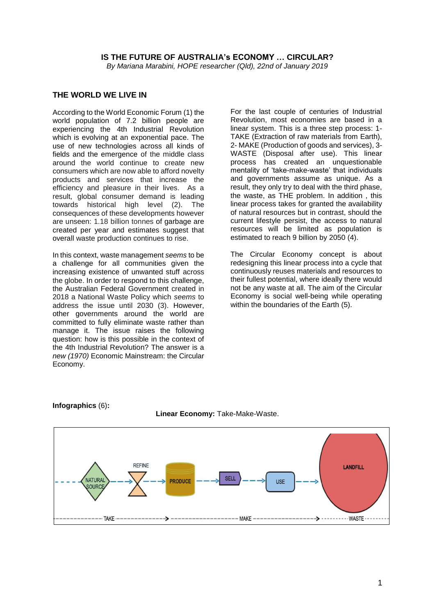#### **IS THE FUTURE OF AUSTRALIA's ECONOMY … CIRCULAR?**

*By Mariana Marabini, HOPE researcher (Qld), 22nd of January 2019*

## **THE WORLD WE LIVE IN**

According to the World Economic Forum (1) the world population of 7.2 billion people are experiencing the 4th Industrial Revolution which is evolving at an exponential pace. The use of new technologies across all kinds of fields and the emergence of the middle class around the world continue to create new consumers which are now able to afford novelty products and services that increase the efficiency and pleasure in their lives. As a result, global consumer demand is leading towards historical high level (2). The consequences of these developments however are unseen: 1.18 billion tonnes of garbage are created per year and estimates suggest that overall waste production continues to rise.

In this context, waste management *seems* to be a challenge for all communities given the increasing existence of unwanted stuff across the globe. In order to respond to this challenge, the Australian Federal Government created in 2018 a National Waste Policy which *seems* to address the issue until 2030 (3). However, other governments around the world are committed to fully eliminate waste rather than manage it. The issue raises the following question: how is this possible in the context of the 4th Industrial Revolution? The answer is a *new (1970)* Economic Mainstream: the Circular Economy.

For the last couple of centuries of Industrial Revolution, most economies are based in a linear system. This is a three step process: 1- TAKE (Extraction of raw materials from Earth), 2- MAKE (Production of goods and services), 3- WASTE (Disposal after use). This linear process has created an unquestionable mentality of 'take-make-waste' that individuals and governments assume as unique. As a result, they only try to deal with the third phase, the waste, as THE problem. In addition , this linear process takes for granted the availability of natural resources but in contrast, should the current lifestyle persist, the access to natural resources will be limited as population is estimated to reach 9 billion by 2050 (4).

The Circular Economy concept is about redesigning this linear process into a cycle that continuously reuses materials and resources to their fullest potential, where ideally there would not be any waste at all. The aim of the Circular Economy is social well-being while operating within the boundaries of the Earth (5).





#### **Linear Economy:** Take-Make-Waste.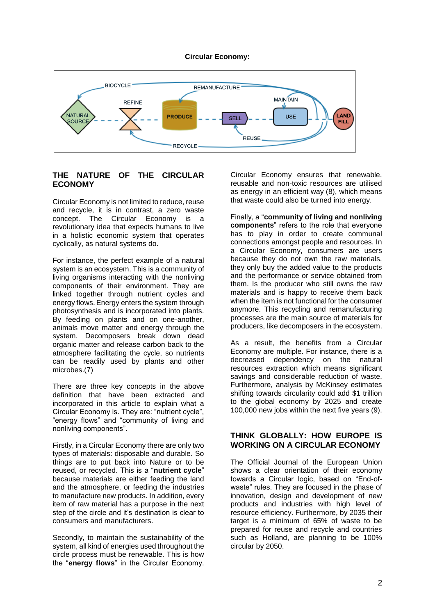#### **Circular Economy:**



# **THE NATURE OF THE CIRCULAR ECONOMY**

Circular Economy is not limited to reduce, reuse and recycle, it is in contrast, a zero waste concept. The Circular Economy is a revolutionary idea that expects humans to live in a holistic economic system that operates cyclically, as natural systems do.

For instance, the perfect example of a natural system is an ecosystem. This is [a community](https://en.wikipedia.org/wiki/Community_(ecology)) of living organisms interacting with the [nonliving](https://en.wikipedia.org/wiki/Abiotic_component)  [components](https://en.wikipedia.org/wiki/Abiotic_component) of their environment. They are linked together through nutrient cycles and energy flows.Energy enters the system through [photosynthesis](https://en.wikipedia.org/wiki/Photosynthesis) and is incorporated into plants. By feeding on plants and on one-another, [animals](https://en.wikipedia.org/wiki/Animal) move matter and energy through the system. Decomposers break down dead organic matter and release carbon back to the atmosphere facilitating the [cycle](https://en.wikipedia.org/wiki/Nutrient_cycling), so nutrients can be readily used by plants and other microbes.(7)

There are three key concepts in the above definition that have been extracted and incorporated in this article to explain what a Circular Economy is. They are: "nutrient cycle", "energy flows" and "community of living and nonliving components".

Firstly, in a Circular Economy there are only two types of materials: disposable and durable. So things are to put back into Nature or to be reused, or recycled. This is a "**nutrient cycle**" because materials are either feeding the land and the atmosphere, or feeding the industries to manufacture new products. In addition, every item of raw material has a purpose in the next step of the circle and it's destination is clear to consumers and manufacturers.

Secondly, to maintain the sustainability of the system, all kind of energies used throughout the circle process must be renewable. This is how the "**energy flows**" in the Circular Economy.

Circular Economy ensures that renewable, reusable and non-toxic resources are utilised as energy in an efficient way (8), which means that waste could also be turned into energy.

Finally, a "**community of living and nonliving components**" refers to the role that everyone has to play in order to create communal connections amongst people and resources. In a Circular Economy, consumers are users because they do not own the raw materials, they only buy the added value to the products and the performance or service obtained from them. Is the producer who still owns the raw materials and is happy to receive them back when the item is not functional for the consumer anymore. This recycling and remanufacturing processes are the main source of materials for producers, like decomposers in the ecosystem.

As a result, the benefits from a Circular Economy are multiple. For instance, there is a decreased dependency on the natural resources extraction which means significant savings and considerable reduction of waste. Furthermore, analysis by McKinsey estimates shifting towards circularity could add \$1 trillion to the global economy by 2025 and create 100,000 new jobs within the next five years (9).

## **THINK GLOBALLY: HOW EUROPE IS WORKING ON A CIRCULAR ECONOMY**

The Official Journal of the European Union shows a clear orientation of their economy towards a Circular logic, based on "End-ofwaste" rules. They are focused in the phase of innovation, design and development of new products and industries with high level of resource efficiency. Furthermore, by 2035 their target is a minimum of 65% of waste to be prepared for reuse and recycle and countries such as Holland, are planning to be 100% circular by 2050.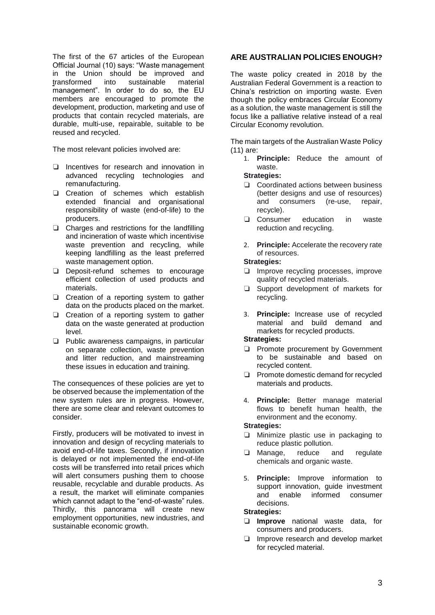The first of the 67 articles of the European Official Journal (10) says: "Waste management in the Union should be improved and transformed into sustainable material management". In order to do so, the EU members are encouraged to promote the development, production, marketing and use of products that contain recycled materials, are durable, multi-use, repairable, suitable to be reused and recycled.

The most relevant policies involved are:

- ❏ Incentives for research and innovation in advanced recycling technologies and remanufacturing.
- ❏ Creation of schemes which establish extended financial and organisational responsibility of waste (end-of-life) to the producers.
- ❏ Charges and restrictions for the landfilling and incineration of waste which incentivise waste prevention and recycling, while keeping landfilling as the least preferred waste management option.
- ❏ Deposit-refund schemes to encourage efficient collection of used products and materials.
- ❏ Creation of a reporting system to gather data on the products placed on the market.
- ❏ Creation of a reporting system to gather data on the waste generated at production level.
- ❏ Public awareness campaigns, in particular on separate collection, waste prevention and litter reduction, and mainstreaming these issues in education and training.

The consequences of these policies are yet to be observed because the implementation of the new system rules are in progress. However, there are some clear and relevant outcomes to consider.

Firstly, producers will be motivated to invest in innovation and design of recycling materials to avoid end-of-life taxes. Secondly, if innovation is delayed or not implemented the end-of-life costs will be transferred into retail prices which will alert consumers pushing them to choose reusable, recyclable and durable products. As a result, the market will eliminate companies which cannot adapt to the "end-of-waste" rules. Thirdly, this panorama will create new employment opportunities, new industries, and sustainable economic growth.

## **ARE AUSTRALIAN POLICIES ENOUGH?**

The waste policy created in 2018 by the Australian Federal Government is a reaction to China's restriction on importing waste. Even though the policy embraces Circular Economy as a solution, the waste management is still the focus like a palliative relative instead of a real Circular Economy revolution.

The main targets of the Australian Waste Policy (11) are:

1. **Principle:** Reduce the amount of waste.

# **Strategies:**

- ❏ Coordinated actions between business (better designs and use of resources) and consumers (re-use, repair, recycle).
- ❏ Consumer education in waste reduction and recycling.
- 2. **Principle:** Accelerate the recovery rate of resources.

#### **Strategies:**

- ❏ Improve recycling processes, improve quality of recycled materials.
- ❏ Support development of markets for recycling.
- 3. **Principle:** Increase use of recycled material and build demand and markets for recycled products.

# **Strategies:**

- ❏ Promote procurement by Government to be sustainable and based on recycled content.
- ❏ Promote domestic demand for recycled materials and products.
- 4. **Principle:** Better manage material flows to benefit human health, the environment and the economy.

## **Strategies:**

- ❏ Minimize plastic use in packaging to reduce plastic pollution.
- ❏ Manage, reduce and regulate chemicals and organic waste.
- 5. **Principle:** Improve information to support innovation, guide investment and enable informed consumer decisions.

## **Strategies:**

- ❏ **Improve** national waste data, for consumers and producers.
- ❏ Improve research and develop market for recycled material.